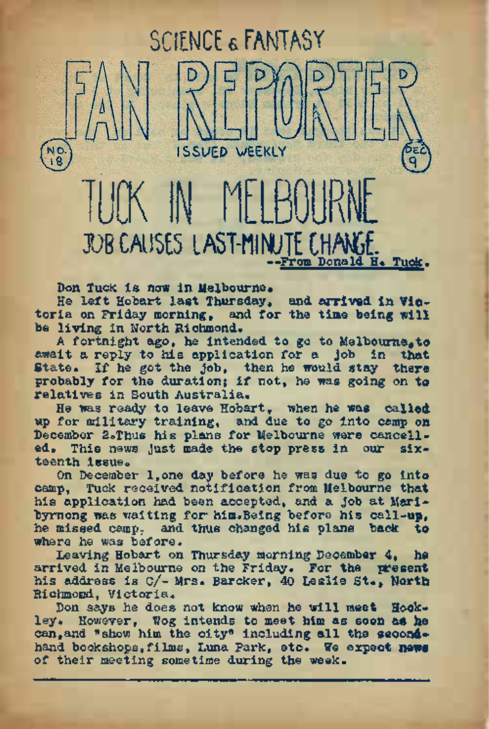Don Tuck is now in Melbourne.

He left Hobart last Thursday, **and. arrived** In **Vic**toria on Friday morning, and for the time being will be living in North Richmond.

TUCK IN MELBOURNE

**ISSUED WEEKLY** 

JOB CAUSE LAST-HINJTt CHWf. —From Donald. H. Tuck.

SCIENCE & FANTASY

A fortnight ago, he intended to go to Melbourne,**to** await a reply to his application for a Job in that State. If he got the job, then he would stay there probably for the duration; if not, he was going on **to** relatives in South Australia.

He was ready to leave Hobart, when he was **called,** up for military training, and due to go into camp on December 2oThus his plans for Melbourne were cancelled. This news Just made the stop press in our sixteenth issue.

On December l,one day before he was due to go into camp, Tuck received notification from Melbourne that his application had been accepted, and a Job at Maribyrnong was waiting for him.Being before his call-up, he missed camp, and thus changed his plans back **to** where he was before.

Leaving Hobart on Thursday morning December 4, he arrived in Melbourne on the Friday. For the **present** his address is c/- Mrs. Barcker, 40 Leslie **St\*, North** Richmond, Victoria.

Don says he does not know when he will meet Hockley. However, Wog intends to meet him as soon as he<br>can,and "show him the city" including all the secondhand bookshops,films, Luna Park, **etc. We expect new®** of their meeting sometime during the week.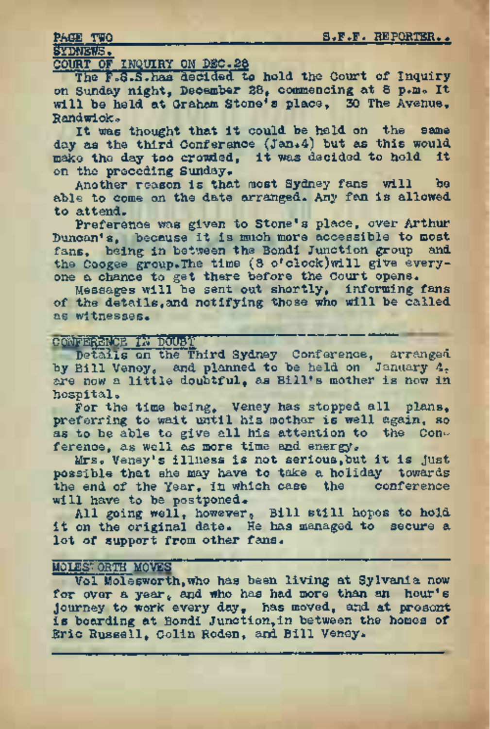SYDNEWS.

# COURT OF INQUIRY ON DEO.28

The F.S.S. has decided to hold the Court of Inquiry on Sunday night, December 28, commencing at 8 p.m. It will be held at Graham Stone's place, 30 The Avenue, Randwick»

It was thought that it could be held on the same day as the third Conference (Jan.4) but as this would make the day too crowded, it was decided to hold it on the preceding Sunday.

Another reason is that most Sydney fans will be able to come on the date arranged. Any fan is allowed to attend.

Preference was given to Stone's place, over Arthur Duncan's, because it is much more accessible to most fans, being in between the Bondi Junction group and the Coogee group.The time (8 o'clock)will give everyone a chance to get there before the Court opens.

Messages will be sent out shortly, informing fans of the details,and notifying those who will be called as witnesses.

## Committee in the state of the state of the committee of the committee of the committee of the committee of the

Details on the Third Sydney Conference, arranged by Bill Veney, and planned to be held on January 4. are now a little doubtful, as Bill's mother is now in hospital.

For the time being. Veney has stopped all plans. preferring to wait until his mother is well again, so as to be able to give all his attention to the Conference, as well as more time and energy.

Mrs. Veney's illness is not serious,but it is just possible that she may have to take a holiday towards the end of the Year, in which case the conference will have to be postponed.

All going well, however, Bill still hopes to hold it on the original date. He has managed to secure a lot of support from other fans.

## M0LES7.0RTH MOVES

Vol Molesworth, who has been living at Sylvania now for over a year, and who has had more than an hour's journey to work every day, has moved, and at prosent is boarding at Bondi Junction,in between the homes of Eric Russell, Colin Roden, and Bill Veney.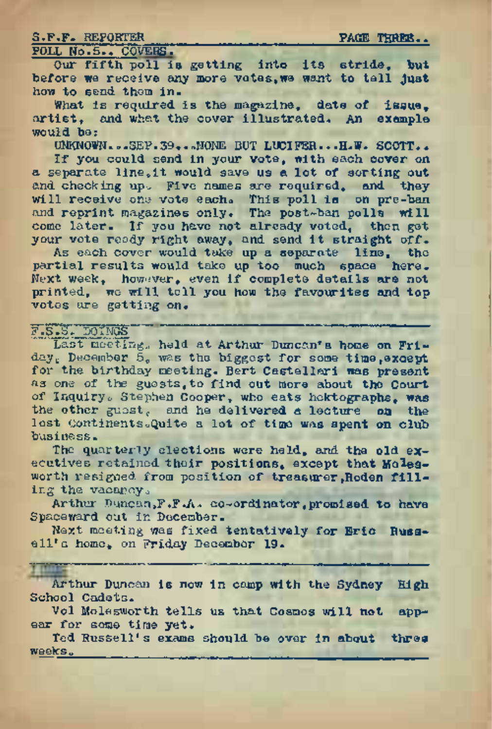## S.F.F. REPORTER FAGE THREE.

# POLL No.5.. COVERS.

*Our* fifth poll is getting into its stride, but before we receive any more votes,we want to tell just how to send them in.

What is required is the magazine, date of issue. artist, and what the cover illustrated. An example would be:

UNKNOWN...SEP.39...MONE BUT LUCIFER...H.W. SCOTT..

If you could send in your vote, with each cover on a separate <line.it> would save us a lot of sorting out and checking up. Five names are required, and they will receive one vote each. This poll is on pre-ban and reprint magazines only. The post-ban polls will come later. If you have not already voted, then get your vote ready right away, and send it straight off.

As each cover would take up a separate line, the partial results would take up too much space here. Next week, however, even if complete details are not printed, we will tell you how the favourites and top votes are getting on.

E.S. DOINGS ' Last meeting, held at Arthur Duncan's home on Friday, December 5, was the biggest for some time, except for the birthday meeting. Bert Castellari was present as one of the guests,to find out more about the Court of Inquiry. Stephen Cooper, who eats hektographs, was the other guest, and he delivered a lecture on the lost Continents. Quite a lot of time was spent on club business.

The quarterly elections were held, and the old executives retained their positions, except that Molesworth resigned from position of treasurer, Roden filling the vacancy.

Arthur Duncan,F.F.A» co-ordinator,promised to have Spaceward out in December.

Next meeting was fixed tentatively for Eric Russ-<br>"a home, on Friday Becomber 19. ell'a home, on Friday December 19.

# **TYT**

Arthur Duncan is now in camp with the Sydney High School Cadets.

Vol Molesworth tells us that Cosmos will not appear for some time yet.

Ted Russell's exams should be over in about three  $weaks<sub>n</sub>$ .